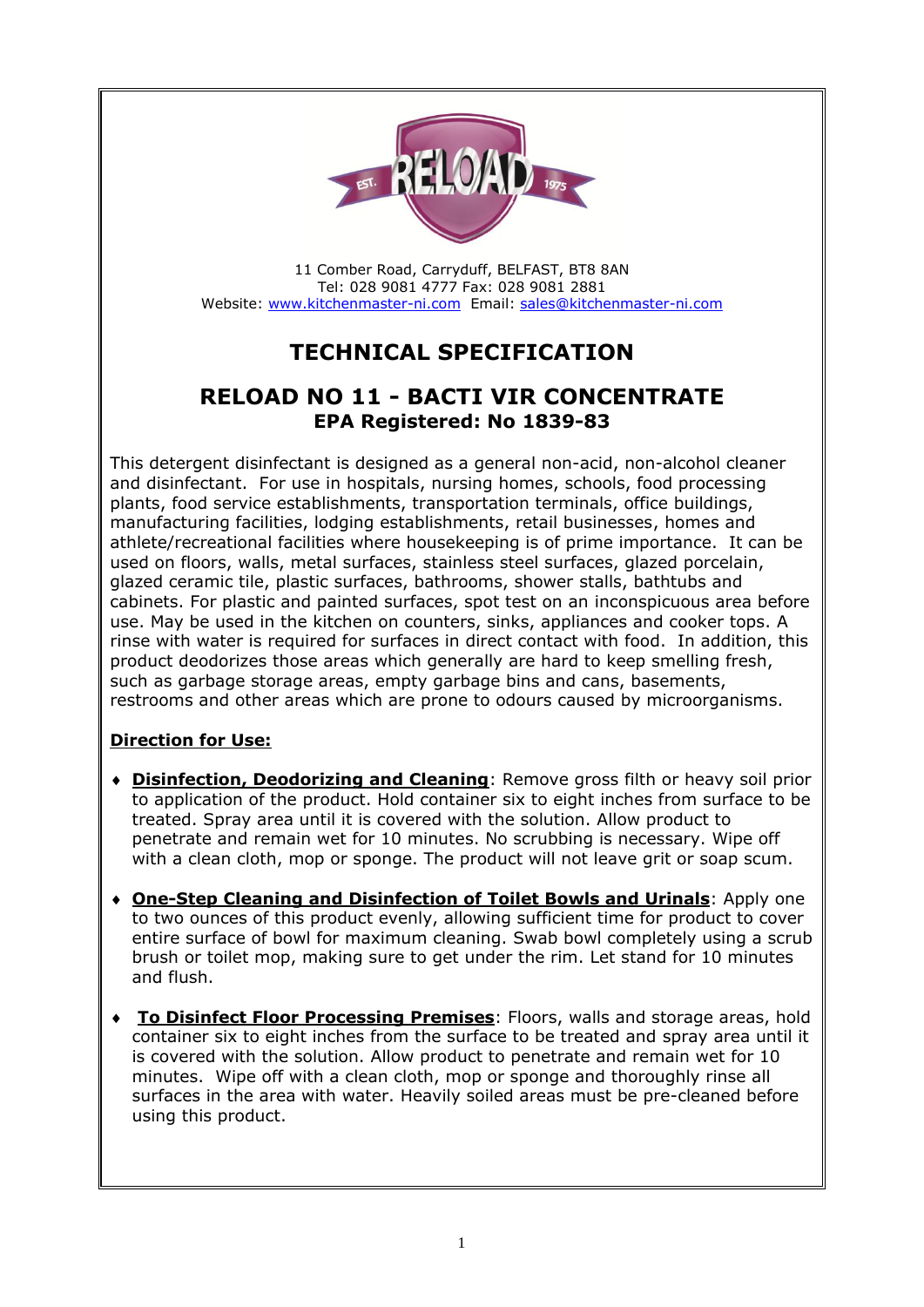

11 Comber Road, Carryduff, BELFAST, BT8 8AN Tel: 028 9081 4777 Fax: 028 9081 2881 Website: [www.kitchenmaster-ni.com](http://www.kitchenmaster-ni.com/) Email: [sales@kitchenmaster-ni.com](mailto:sales@kitchenmaster-ni.com)

# **TECHNICAL SPECIFICATION**

## **RELOAD NO 11 - BACTI VIR CONCENTRATE EPA Registered: No 1839-83**

This detergent disinfectant is designed as a general non-acid, non-alcohol cleaner and disinfectant. For use in hospitals, nursing homes, schools, food processing plants, food service establishments, transportation terminals, office buildings, manufacturing facilities, lodging establishments, retail businesses, homes and athlete/recreational facilities where housekeeping is of prime importance. It can be used on floors, walls, metal surfaces, stainless steel surfaces, glazed porcelain, glazed ceramic tile, plastic surfaces, bathrooms, shower stalls, bathtubs and cabinets. For plastic and painted surfaces, spot test on an inconspicuous area before use. May be used in the kitchen on counters, sinks, appliances and cooker tops. A rinse with water is required for surfaces in direct contact with food. In addition, this product deodorizes those areas which generally are hard to keep smelling fresh, such as garbage storage areas, empty garbage bins and cans, basements, restrooms and other areas which are prone to odours caused by microorganisms.

### **Direction for Use:**

- **Disinfection, Deodorizing and Cleaning**: Remove gross filth or heavy soil prior to application of the product. Hold container six to eight inches from surface to be treated. Spray area until it is covered with the solution. Allow product to penetrate and remain wet for 10 minutes. No scrubbing is necessary. Wipe off with a clean cloth, mop or sponge. The product will not leave grit or soap scum.
- **One-Step Cleaning and Disinfection of Toilet Bowls and Urinals**: Apply one to two ounces of this product evenly, allowing sufficient time for product to cover entire surface of bowl for maximum cleaning. Swab bowl completely using a scrub brush or toilet mop, making sure to get under the rim. Let stand for 10 minutes and flush.
- **To Disinfect Floor Processing Premises**: Floors, walls and storage areas, hold container six to eight inches from the surface to be treated and spray area until it is covered with the solution. Allow product to penetrate and remain wet for 10 minutes. Wipe off with a clean cloth, mop or sponge and thoroughly rinse all surfaces in the area with water. Heavily soiled areas must be pre-cleaned before using this product.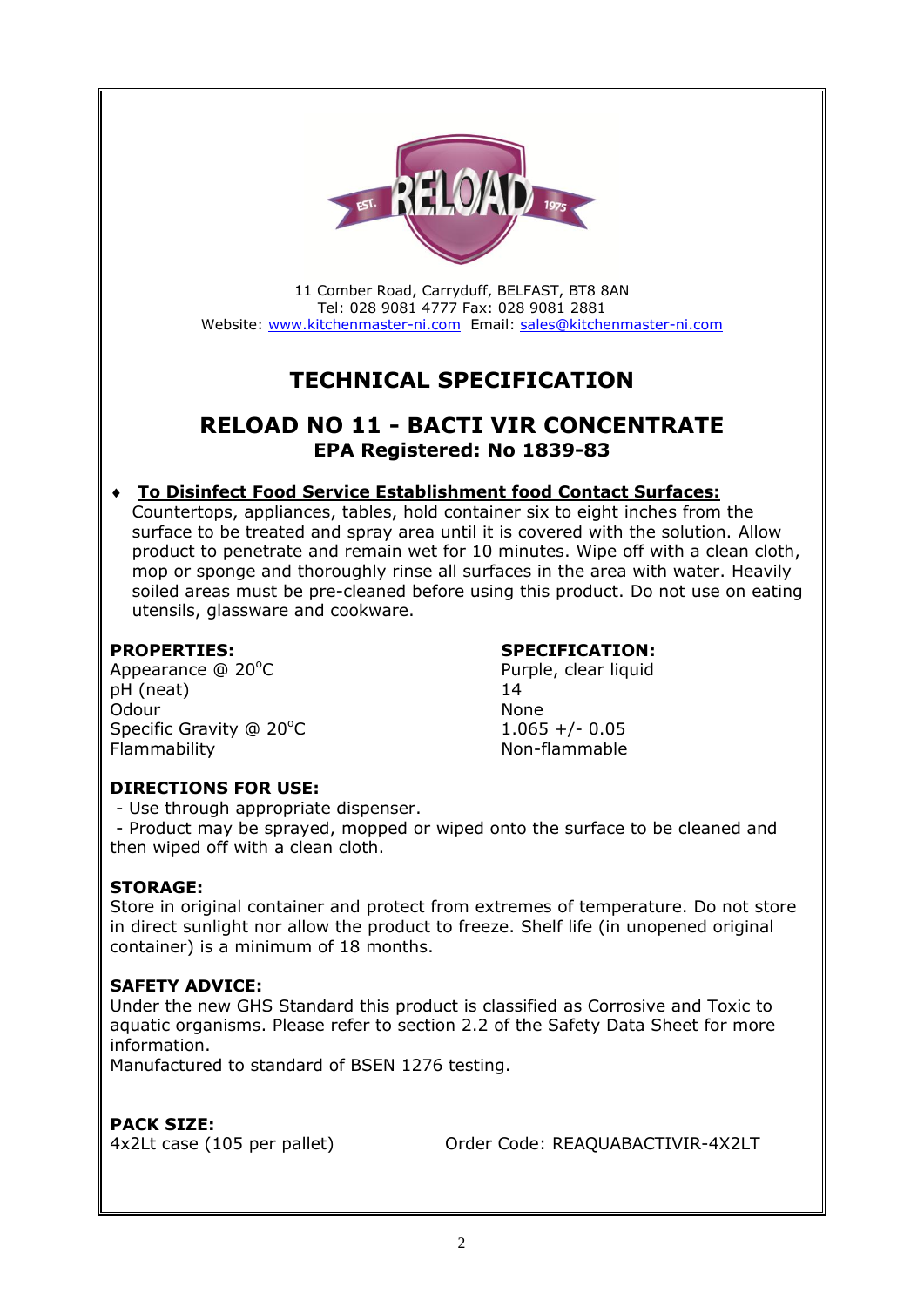

11 Comber Road, Carryduff, BELFAST, BT8 8AN Tel: 028 9081 4777 Fax: 028 9081 2881 Website: [www.kitchenmaster-ni.com](http://www.kitchenmaster-ni.com/) Email: [sales@kitchenmaster-ni.com](mailto:sales@kitchenmaster-ni.com)

# **TECHNICAL SPECIFICATION**

## **RELOAD NO 11 - BACTI VIR CONCENTRATE EPA Registered: No 1839-83**

#### **To Disinfect Food Service Establishment food Contact Surfaces:**

Countertops, appliances, tables, hold container six to eight inches from the surface to be treated and spray area until it is covered with the solution. Allow product to penetrate and remain wet for 10 minutes. Wipe off with a clean cloth, mop or sponge and thoroughly rinse all surfaces in the area with water. Heavily soiled areas must be pre-cleaned before using this product. Do not use on eating utensils, glassware and cookware.

Appearance @ 20°C Purple, clear liquid pH (neat) 14 Odour None Specific Gravity  $@ 20^{\circ}$ C 1.065 +/- 0.05 Flammability **Non-flammable** 

#### **PROPERTIES: SPECIFICATION:**

#### **DIRECTIONS FOR USE:**

- Use through appropriate dispenser.

- Product may be sprayed, mopped or wiped onto the surface to be cleaned and then wiped off with a clean cloth.

#### **STORAGE:**

Store in original container and protect from extremes of temperature. Do not store in direct sunlight nor allow the product to freeze. Shelf life (in unopened original container) is a minimum of 18 months.

#### **SAFETY ADVICE:**

Under the new GHS Standard this product is classified as Corrosive and Toxic to aquatic organisms. Please refer to section 2.2 of the Safety Data Sheet for more information.

Manufactured to standard of BSEN 1276 testing.

#### **PACK SIZE:**

4x2Lt case (105 per pallet) Order Code: REAQUABACTIVIR-4X2LT